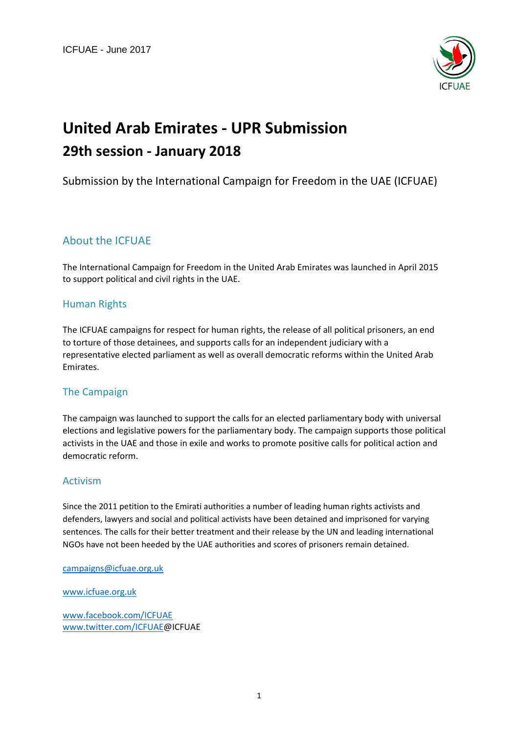

# **United Arab Emirates - UPR Submission 29th session - January 2018**

## Submission by the International Campaign for Freedom in the UAE (ICFUAE)

### About the ICFUAE

The International Campaign for Freedom in the United Arab Emirates was launched in April 2015 to support political and civil rights in the UAE.

#### Human Rights

The ICFUAE campaigns for respect for human rights, the release of all political prisoners, an end to torture of those detainees, and supports calls for an independent judiciary with a representative elected parliament as well as overall democratic reforms within the United Arab Emirates.

#### The Campaign

The campaign was launched to support the calls for an elected parliamentary body with universal elections and legislative powers for the parliamentary body. The campaign supports those political activists in the UAE and those in exile and works to promote positive calls for political action and democratic reform.

#### Activism

Since the 2011 petition to the Emirati authorities a number of leading human rights activists and defenders, lawyers and social and political activists have been detained and imprisoned for varying sentences. The calls for their better treatment and their release by the UN and leading international NGOs have not been heeded by the UAE authorities and scores of prisoners remain detained.

[campaigns@icfuae.org.uk](mailto:campaigns@icfuae.org.uk)

[www.icfuae.org.uk](http://www.icfuae.org.uk/)

[www.facebook.com/ICFUAE](http://www.facebook.com/ICFUAE) [www.twitter.com/ICFUAE@](http://www.twitter.com/ICFUAE)ICFUAE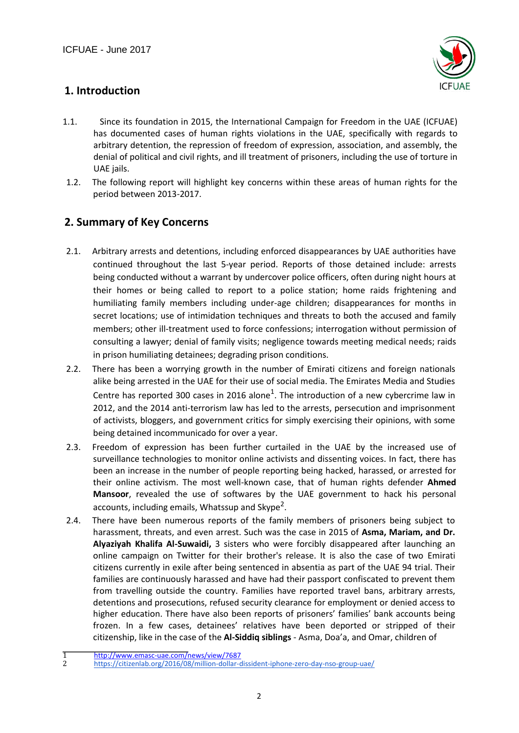

# **1. Introduction**

- 1.1. Since its foundation in 2015, the International Campaign for Freedom in the UAE (ICFUAE) has documented cases of human rights violations in the UAE, specifically with regards to arbitrary detention, the repression of freedom of expression, association, and assembly, the denial of political and civil rights, and ill treatment of prisoners, including the use of torture in UAE jails.
- 1.2. The following report will highlight key concerns within these areas of human rights for the period between 2013-2017.

# **2. Summary of Key Concerns**

- 2.1. Arbitrary arrests and detentions, including enforced disappearances by UAE authorities have continued throughout the last 5-year period. Reports of those detained include: arrests being conducted without a warrant by undercover police officers, often during night hours at their homes or being called to report to a police station; home raids frightening and humiliating family members including under-age children; disappearances for months in secret locations; use of intimidation techniques and threats to both the accused and family members; other ill-treatment used to force confessions; interrogation without permission of consulting a lawyer; denial of family visits; negligence towards meeting medical needs; raids in prison humiliating detainees; degrading prison conditions.
- 2.2. There has been a worrying growth in the number of Emirati citizens and foreign nationals alike being arrested in the UAE for their use of social media. The Emirates Media and Studies Centre has reported 300 cases in 2016 alone<sup>1</sup>. The introduction of a new cybercrime law in 2012, and the 2014 anti-terrorism law has led to the arrests, persecution and imprisonment of activists, bloggers, and government critics for simply exercising their opinions, with some being detained incommunicado for over a year.
- 2.3. Freedom of expression has been further curtailed in the UAE by the increased use of surveillance technologies to monitor online activists and dissenting voices. In fact, there has been an increase in the number of people reporting being hacked, harassed, or arrested for their online activism. The most well-known case, that of human rights defender **Ahmed Mansoor**, revealed the use of softwares by the UAE government to hack his personal accounts, including emails, Whatssup and Skype<sup>2</sup>.
- 2.4. There have been numerous reports of the family members of prisoners being subject to harassment, threats, and even arrest. Such was the case in 2015 of **Asma, Mariam, and Dr. Alyaziyah Khalifa Al-Suwaidi,** 3 sisters who were forcibly disappeared after launching an online campaign on Twitter for their brother's release. It is also the case of two Emirati citizens currently in exile after being sentenced in absentia as part of the UAE 94 trial. Their families are continuously harassed and have had their passport confiscated to prevent them from travelling outside the country. Families have reported travel bans, arbitrary arrests, detentions and prosecutions, refused security clearance for employment or denied access to higher education. There have also been reports of prisoners' families' bank accounts being frozen. In a few cases, detainees' relatives have been deported or stripped of their citizenship, like in the case of the **Al-Siddiq siblings** - Asma, Doa'a, and Omar, children of

<sup>1</sup> [http://www.emasc-uae.com/news/view/7687](​http:/www.emasc-uae.com/news/view/7687)<br>2 https://citizenlab.org/2016/08/million-dollar-d

<https://citizenlab.org/2016/08/million-dollar-dissident-iphone-zero-day-nso-group-uae/>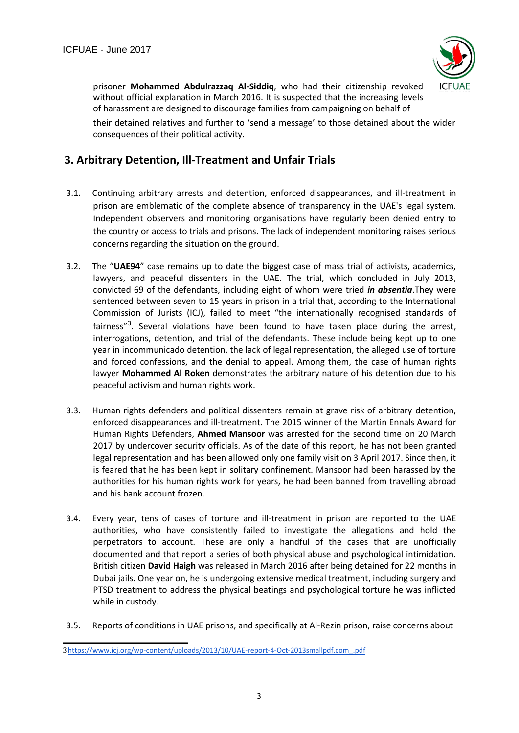

prisoner **Mohammed Abdulrazzaq Al-Siddiq**, who had their citizenship revoked without official explanation in March 2016. It is suspected that the increasing levels of harassment are designed to discourage families from campaigning on behalf of

their detained relatives and further to 'send a message' to those detained about the wider consequences of their political activity.

# **3. Arbitrary Detention, Ill-Treatment and Unfair Trials**

- 3.1. Continuing arbitrary arrests and detention, enforced disappearances, and ill-treatment in prison are emblematic of the complete absence of transparency in the UAE's legal system. Independent observers and monitoring organisations have regularly been denied entry to the country or access to trials and prisons. The lack of independent monitoring raises serious concerns regarding the situation on the ground.
- 3.2. The "**UAE94**" case remains up to date the biggest case of mass trial of activists, academics, lawyers, and peaceful dissenters in the UAE. The trial, which concluded in July 2013, convicted 69 of the defendants, including eight of whom were tried *in absentia*.They were sentenced between seven to 15 years in prison in a trial that, according to the International Commission of Jurists (ICJ), failed to meet "the internationally recognised standards of fairness"<sup>3</sup>. Several violations have been found to have taken place during the arrest, interrogations, detention, and trial of the defendants. These include being kept up to one year in incommunicado detention, the lack of legal representation, the alleged use of torture and forced confessions, and the denial to appeal. Among them, the case of human rights lawyer **Mohammed Al Roken** demonstrates the arbitrary nature of his detention due to his peaceful activism and human rights work.
- 3.3. Human rights defenders and political dissenters remain at grave risk of arbitrary detention, enforced disappearances and ill-treatment. The 2015 winner of the Martin Ennals Award for Human Rights Defenders, **Ahmed Mansoor** was arrested for the second time on 20 March 2017 by undercover security officials. As of the date of this report, he has not been granted legal representation and has been allowed only one family visit on 3 April 2017. Since then, it is feared that he has been kept in solitary confinement. Mansoor had been harassed by the authorities for his human rights work for years, he had been banned from travelling abroad and his bank account frozen.
- 3.4. Every year, tens of cases of torture and ill-treatment in prison are reported to the UAE authorities, who have consistently failed to investigate the allegations and hold the perpetrators to account. These are only a handful of the cases that are unofficially documented and that report a series of both physical abuse and psychological intimidation. British citizen **David Haigh** was released in March 2016 after being detained for 22 months in Dubai jails. One year on, he is undergoing extensive medical treatment, including surgery and PTSD treatment to address the physical beatings and psychological torture he was inflicted while in custody.
- 3.5. Reports of conditions in UAE prisons, and specifically at Al-Rezin prison, raise concerns about

<sup>3</sup>[https://www.icj.org/wp-content/uploads/2013/10/UAE-report-4-Oct-2013smallpdf.com\\_.pdf](https://www.icj.org/wp-content/uploads/2013/10/UAE-report-4-Oct-2013smallpdf.com_.pdf)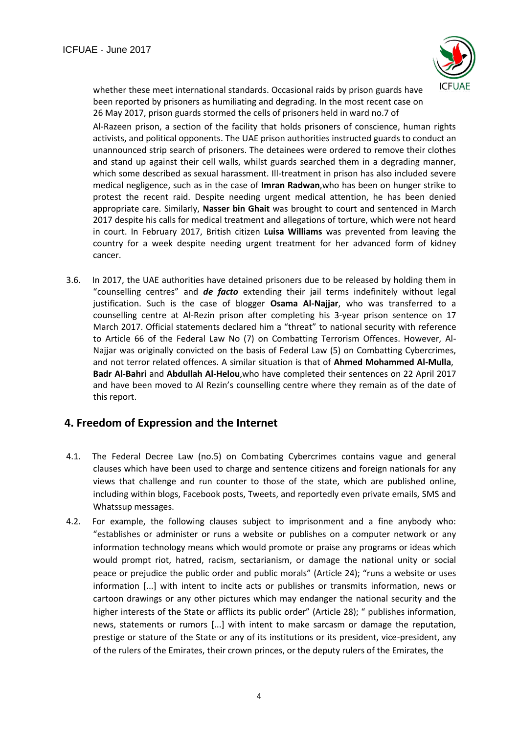

whether these meet international standards. Occasional raids by prison guards have been reported by prisoners as humiliating and degrading. In the most recent case on 26 May 2017, prison guards stormed the cells of prisoners held in ward no.7 of

Al-Razeen prison, a section of the facility that holds prisoners of conscience, human rights activists, and political opponents. The UAE prison authorities instructed guards to conduct an unannounced strip search of prisoners. The detainees were ordered to remove their clothes and stand up against their cell walls, whilst guards searched them in a degrading manner, which some described as sexual harassment. Ill-treatment in prison has also included severe medical negligence, such as in the case of **Imran Radwan**,who has been on hunger strike to protest the recent raid. Despite needing urgent medical attention, he has been denied appropriate care. Similarly, **Nasser bin Ghait** was brought to court and sentenced in March 2017 despite his calls for medical treatment and allegations of torture, which were not heard in court. In February 2017, British citizen **Luisa Williams** was prevented from leaving the country for a week despite needing urgent treatment for her advanced form of kidney cancer.

3.6. In 2017, the UAE authorities have detained prisoners due to be released by holding them in "counselling centres" and *de facto* extending their jail terms indefinitely without legal justification. Such is the case of blogger **Osama Al-Najjar**, who was transferred to a counselling centre at Al-Rezin prison after completing his 3-year prison sentence on 17 March 2017. Official statements declared him a "threat" to national security with reference to Article 66 of the Federal Law No (7) on Combatting Terrorism Offences. However, Al-Najjar was originally convicted on the basis of Federal Law (5) on Combatting Cybercrimes, and not terror related offences. A similar situation is that of **Ahmed Mohammed Al-Mulla**, **Badr Al-Bahri** and **Abdullah Al-Helou**,who have completed their sentences on 22 April 2017 and have been moved to Al Rezin's counselling centre where they remain as of the date of this report.

#### **4. Freedom of Expression and the Internet**

- 4.1. The Federal Decree Law (no.5) on Combating Cybercrimes contains vague and general clauses which have been used to charge and sentence citizens and foreign nationals for any views that challenge and run counter to those of the state, which are published online, including within blogs, Facebook posts, Tweets, and reportedly even private emails, SMS and Whatssup messages.
- 4.2. For example, the following clauses subject to imprisonment and a fine anybody who: "establishes or administer or runs a website or publishes on a computer network or any information technology means which would promote or praise any programs or ideas which would prompt riot, hatred, racism, sectarianism, or damage the national unity or social peace or prejudice the public order and public morals" (Article 24); "runs a website or uses information [...] with intent to incite acts or publishes or transmits information, news or cartoon drawings or any other pictures which may endanger the national security and the higher interests of the State or afflicts its public order" (Article 28); " publishes information, news, statements or rumors [...] with intent to make sarcasm or damage the reputation, prestige or stature of the State or any of its institutions or its president, vice-president, any of the rulers of the Emirates, their crown princes, or the deputy rulers of the Emirates, the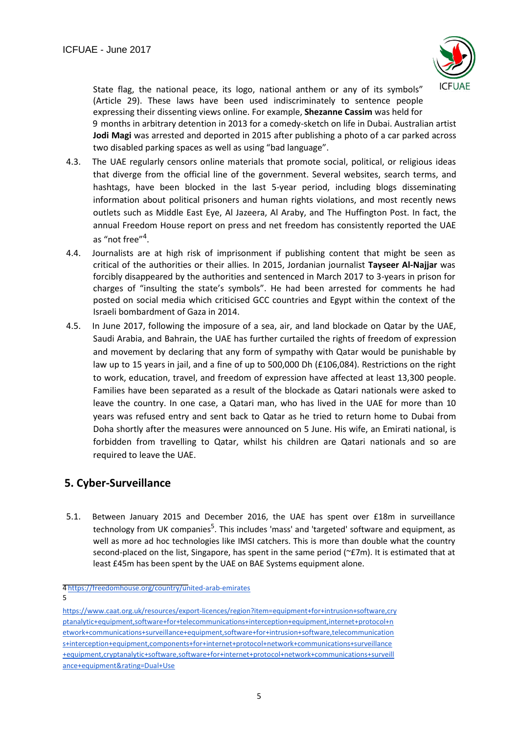

State flag, the national peace, its logo, national anthem or any of its symbols" (Article 29). These laws have been used indiscriminately to sentence people expressing their dissenting views online. For example, **Shezanne Cassim** was held for 9 months in arbitrary detention in 2013 for a comedy-sketch on life in Dubai. Australian artist **Jodi Magi** was arrested and deported in 2015 after publishing a photo of a car parked across two disabled parking spaces as well as using "bad language".

- 4.3. The UAE regularly censors online materials that promote social, political, or religious ideas that diverge from the official line of the government. Several websites, search terms, and hashtags, have been blocked in the last 5-year period, including blogs disseminating information about political prisoners and human rights violations, and most recently news outlets such as Middle East Eye, Al Jazeera, Al Araby, and The Huffington Post. In fact, the annual Freedom House report on press and net freedom has consistently reported the UAE as "not free"<sup>4</sup>.
- 4.4. Journalists are at high risk of imprisonment if publishing content that might be seen as critical of the authorities or their allies. In 2015, Jordanian journalist **Tayseer Al-Najjar** was forcibly disappeared by the authorities and sentenced in March 2017 to 3-years in prison for charges of "insulting the state's symbols". He had been arrested for comments he had posted on social media which criticised GCC countries and Egypt within the context of the Israeli bombardment of Gaza in 2014.
- 4.5. In June 2017, following the imposure of a sea, air, and land blockade on Qatar by the UAE, Saudi Arabia, and Bahrain, the UAE has further curtailed the rights of freedom of expression and movement by declaring that any form of sympathy with Qatar would be punishable by law up to 15 years in jail, and a fine of up to 500,000 Dh (£106,084). Restrictions on the right to work, education, travel, and freedom of expression have affected at least 13,300 people. Families have been separated as a result of the blockade as Qatari nationals were asked to leave the country. In one case, a Qatari man, who has lived in the UAE for more than 10 years was refused entry and sent back to Qatar as he tried to return home to Dubai from Doha shortly after the measures were announced on 5 June. His wife, an Emirati national, is forbidden from travelling to Qatar, whilst his children are Qatari nationals and so are required to leave the UAE.

# **5. Cyber-Surveillance**

5.1. Between January 2015 and December 2016, the UAE has spent over £18m in surveillance technology from UK companies<sup>5</sup>. This includes 'mass' and 'targeted' software and equipment, as well as more ad hoc technologies like IMSI catchers. This is more than double what the country second-placed on the list, Singapore, has spent in the same period (~£7m). It is estimated that at least £45m has been spent by the UAE on BAE Systems equipment alone.

<sup>4</sup> <https://freedomhouse.org/country/united-arab-emirates>

<sup>5</sup>

[https://www.caat.org.uk/resources/export-licences/region?item=equipment+for+intrusion+software,cry](https://www.caat.org.uk/resources/export-licences/region?item=equipment+for+intrusion+software,cryptanalytic+equipment,software+for+telecommunications+interception+equipment,internet+protocol+network+communications+surveillance+equipment,software+for+intrusion+software,telecommunications+interception+equipment,components+for+internet+protocol+network+communications+surveillance+equipment,cryptanalytic+software,software+for+internet+protocol+network+communications+surveillance+equipment&rating=Dual+Use) [ptanalytic+equipment,software+for+telecommunications+interception+equipment,internet+protocol+n](https://www.caat.org.uk/resources/export-licences/region?item=equipment+for+intrusion+software,cryptanalytic+equipment,software+for+telecommunications+interception+equipment,internet+protocol+network+communications+surveillance+equipment,software+for+intrusion+software,telecommunications+interception+equipment,components+for+internet+protocol+network+communications+surveillance+equipment,cryptanalytic+software,software+for+internet+protocol+network+communications+surveillance+equipment&rating=Dual+Use) [etwork+communications+surveillance+equipment,software+for+intrusion+software,telecommunication](https://www.caat.org.uk/resources/export-licences/region?item=equipment+for+intrusion+software,cryptanalytic+equipment,software+for+telecommunications+interception+equipment,internet+protocol+network+communications+surveillance+equipment,software+for+intrusion+software,telecommunications+interception+equipment,components+for+internet+protocol+network+communications+surveillance+equipment,cryptanalytic+software,software+for+internet+protocol+network+communications+surveillance+equipment&rating=Dual+Use) [s+interception+equipment,components+for+internet+protocol+network+communications+surveillance](https://www.caat.org.uk/resources/export-licences/region?item=equipment+for+intrusion+software,cryptanalytic+equipment,software+for+telecommunications+interception+equipment,internet+protocol+network+communications+surveillance+equipment,software+for+intrusion+software,telecommunications+interception+equipment,components+for+internet+protocol+network+communications+surveillance+equipment,cryptanalytic+software,software+for+internet+protocol+network+communications+surveillance+equipment&rating=Dual+Use) [+equipment,cryptanalytic+software,software+for+internet+protocol+network+communications+surveill](https://www.caat.org.uk/resources/export-licences/region?item=equipment+for+intrusion+software,cryptanalytic+equipment,software+for+telecommunications+interception+equipment,internet+protocol+network+communications+surveillance+equipment,software+for+intrusion+software,telecommunications+interception+equipment,components+for+internet+protocol+network+communications+surveillance+equipment,cryptanalytic+software,software+for+internet+protocol+network+communications+surveillance+equipment&rating=Dual+Use) [ance+equipment&rating=Dual+Use](https://www.caat.org.uk/resources/export-licences/region?item=equipment+for+intrusion+software,cryptanalytic+equipment,software+for+telecommunications+interception+equipment,internet+protocol+network+communications+surveillance+equipment,software+for+intrusion+software,telecommunications+interception+equipment,components+for+internet+protocol+network+communications+surveillance+equipment,cryptanalytic+software,software+for+internet+protocol+network+communications+surveillance+equipment&rating=Dual+Use)